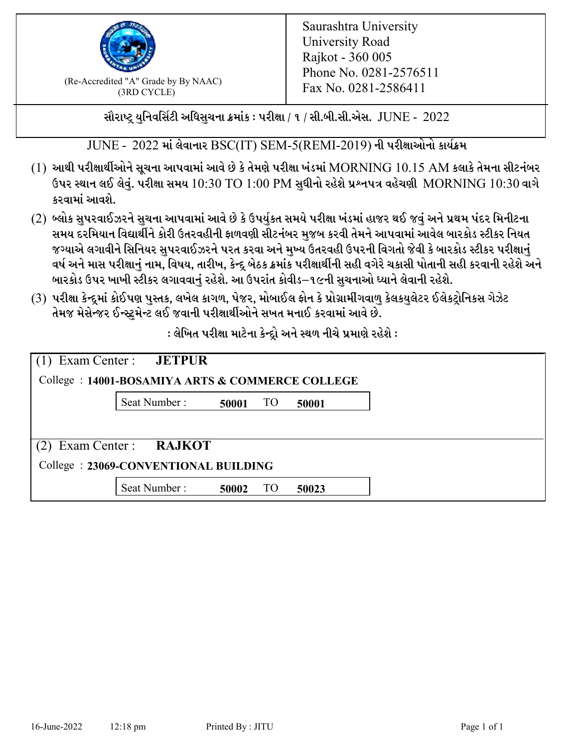

 $F_{\text{R}}$  (Re-Accredited "A" Grade by By NAAC)<br>(3PD CVCLE)<br> $F_{\text{R}}$  No. 0281-2586411 (3RD CYCLE)

સૌરાષ્ટ્ર યુનિવર્સિટી અધિસુચના ક્રમાંક : પરીક્ષા / ૧ / સી.બી.સી.એસ.  $\,$  JUNE -  $\,2022$ 

 $JUNE - 2022$  માં લેવાનાર BSC(IT) SEM-5(REMI-2019) ની પરીક્ષાઓનો કાર્યક્રમ

- $(1)$  આથી પરીક્ષાર્થીઓને સૂચના આપવામાં આવે છે કે તેમણે પરીક્ષા ખંડમાં  $\operatorname{MORNING}$   $10.15$   $\operatorname{AM}$  કલાકે તેમના સીટનંબર ઉપર સ્થાન લઈ લેવું. પરીક્ષા સમય  $10:30 \text{ TO } 1:00 \text{ PM}$  સુધીનો રહેશે પ્રશ્નપત્ર વહેચણી  $\text{MORNING } 10:30$  વાગે કરવામાં આવશે.
- (2) બ્લોક સુપરવાઈઝરને સુચના આપવામાં આવે છે કે ઉપર્યુકત સમયે પરીક્ષા ખંડમાં હાજર થઈ જવું અને પ્રથમ પંદર મિનીટના સમય દરમિયાન વિદ્યાર્થીને કોરી ઉતરવહીની ફાળવણી સીટનંબર મજબ કરવી તેમને આપવામાં આવેલ બારકોડ સ્ટીકર નિયત જગ્યાએ લગાવીને સિનિયર સુપરવાઈઝરને પરત કરવા અને મુખ્ય ઉતરવહી ઉપરની વિગતો જેવી કે બારકોડ સ્ટીકર પરીક્ષ<u>ાન</u>ં વર્ષ અને માસ પરીક્ષાનું નામ, વિષય, તારીખ, કેન્દ્ર બેઠક ક્રમાંક પરીક્ષાર્થીની સહી વગેરે ચકાસી પોતાની સહી કરવાની રહેશે અને બારકોડ ઉપર ખાખી સ્ટીકર લગાવવાનં રહેશે. આ ઉપરાંત કોવીડ–૧૯ની સચનાઓ ધ્યાને લેવાની રહેશે.
- (3) પરીક્ષા કેન્દ્રમાં કોઈપણ પુસ્તક, લખેલ કાગળ, પેજર, મોબાઈલ ફોન કે પ્રોગ્રામીંગવાળુ કેલકયુલેટર ઈલેકટ્રોનિકસ ગેઝેટ તેમજ મેસેન્જર ઈન્સ્ટમેન્ટ લઈ જવાની પરીક્ષાર્થીઓને સખત મનાઈ કરવામાં આવે છે.

 $:$ લેખિત પરીક્ષા માટેના કેન્દ્રો અને સ્થળ નીચે પ્રમાણે રહેશે  $:$ 

| Exam Center : <b>JETPUR</b><br>College: 14001-BOSAMIYA ARTS & COMMERCE COLLEGE |       |           |       |  |
|--------------------------------------------------------------------------------|-------|-----------|-------|--|
| Seat Number:                                                                   | 50001 | TO        | 50001 |  |
| $(2)$ Exam Center : RAJKOT                                                     |       |           |       |  |
| College: 23069-CONVENTIONAL BUILDING                                           |       |           |       |  |
| Seat Number:                                                                   | 50002 | <b>TO</b> | 50023 |  |